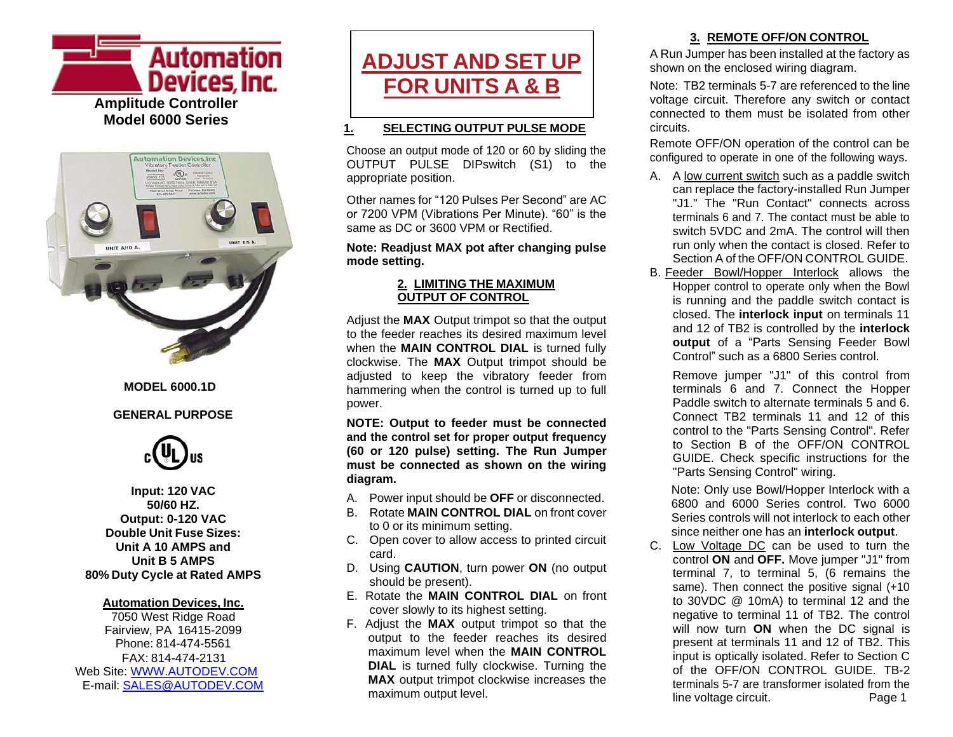



#### **MODEL 6000.1D**

#### **GENERAL PURPOSE**



**Input: 120 VAC 50/60 HZ. Output: 0-120 VAC Double Unit Fuse Sizes: Unit A 10 AMPS and Unit B 5 AMPS 80% Duty Cycle at Rated AMPS**

#### **Automation Devices, Inc.**

7050 West Ridge Road Fairview, PA 16415-2099 Phone: 814-474-5561 FAX: 814-474-2131 Web Site: [WWW.AUTODEV.COM](http://www.autodev.com/) E-mail: [SALES@AUTODEV.COM](mailto:SALES@AUTODEV.COM)



#### **1. SELECTING OUTPUT PULSE MODE**

Choose an output mode of 120 or 60 by sliding the OUTPUT PULSE DIPswitch (S1) to the appropriate position.

Other names for "120 Pulses Per Second" are AC or 7200 VPM (Vibrations Per Minute). "60" is the same as DC or 3600 VPM or Rectified.

**Note: Readjust MAX pot after changing pulse mode setting.**

#### **2. LIMITING THE MAXIMUM OUTPUT OF CONTROL**

Adjust the **MAX** Output trimpot so that the output to the feeder reaches its desired maximum level when the **MAIN CONTROL DIAL** is turned fully clockwise. The **MAX** Output trimpot should be adjusted to keep the vibratory feeder from hammering when the control is turned up to full power.

**NOTE: Output to feeder must be connected and the control set for proper output frequency (60 or 120 pulse) setting. The Run Jumper must be connected as shown on the wiring diagram.**

- A. Power input should be **OFF** or disconnected.
- B. Rotate **MAIN CONTROL DIAL** on front cover to 0 or its minimum setting.
- C. Open cover to allow access to printed circuit card.
- D. Using **CAUTION**, turn power **ON** (no output should be present).
- E. Rotate the **MAIN CONTROL DIAL** on front cover slowly to its highest setting.
- F. Adjust the **MAX** output trimpot so that the output to the feeder reaches its desired maximum level when the **MAIN CONTROL DIAL** is turned fully clockwise. Turning the **MAX** output trimpot clockwise increases the maximum output level.

# **3. REMOTE OFF/ON CONTROL**

A Run Jumper has been installed at the factory as shown on the enclosed wiring diagram.

Note: TB2 terminals 5-7 are referenced to the line voltage circuit. Therefore any switch or contact connected to them must be isolated from other circuits.

Remote OFF/ON operation of the control can be configured to operate in one of the following ways.

- A. A low current switch such as a paddle switch can replace the factory-installed Run Jumper "J1." The "Run Contact" connects across terminals 6 and 7. The contact must be able to switch 5VDC and 2mA. The control will then run only when the contact is closed. Refer to Section A of the OFF/ON CONTROL GUIDE.
- B. Feeder Bowl/Hopper Interlock allows the Hopper control to operate only when the Bowl is running and the paddle switch contact is closed. The **interlock input** on terminals 11 and 12 of TB2 is controlled by the **interlock output** of a "Parts Sensing Feeder Bowl Control" such as a 6800 Series control.

Remove jumper "J1" of this control from terminals 6 and 7. Connect the Hopper Paddle switch to alternate terminals 5 and 6. Connect TB2 terminals 11 and 12 of this control to the "Parts Sensing Control". Refer to Section B of the OFF/ON CONTROL GUIDE. Check specific instructions for the "Parts Sensing Control" wiring.

Note: Only use Bowl/Hopper Interlock with a 6800 and 6000 Series control. Two 6000 Series controls will not interlock to each other since neither one has an **interlock output**.

C. Low Voltage DC can be used to turn the control **ON** and **OFF.** Move jumper "J1" from terminal 7, to terminal 5, (6 remains the same). Then connect the positive signal (+10) to 30VDC @ 10mA) to terminal 12 and the negative to terminal 11 of TB2. The control will now turn **ON** when the DC signal is present at terminals 11 and 12 of TB2. This input is optically isolated. Refer to Section C of the OFF/ON CONTROL GUIDE. TB-2 terminals 5-7 are transformer isolated from the line voltage circuit. Page 1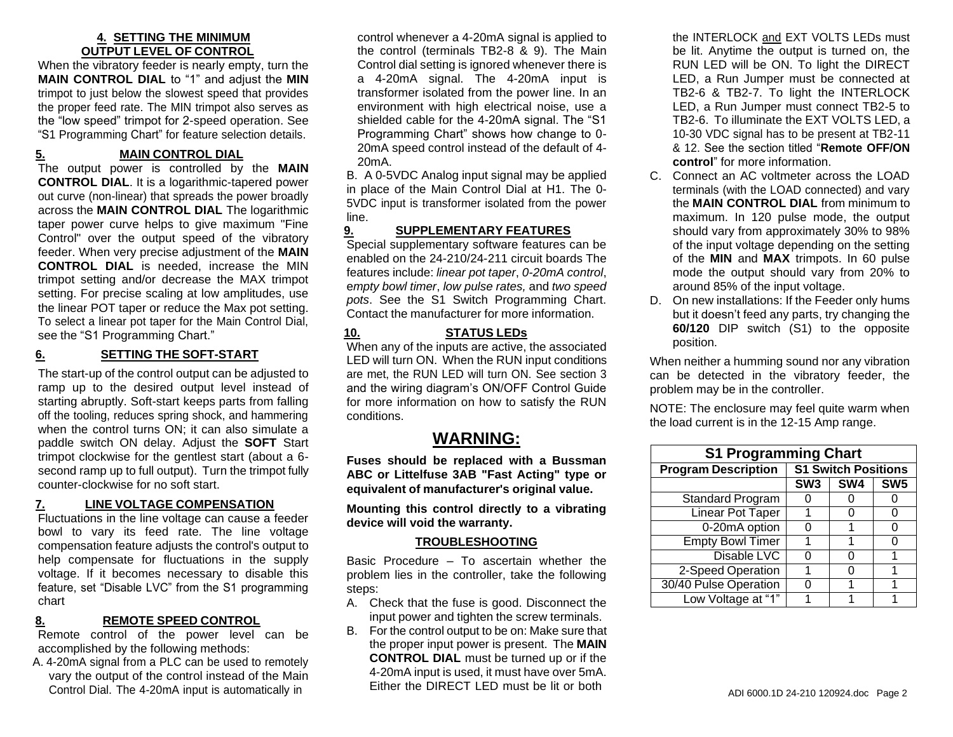#### **4. SETTING THE MINIMUM OUTPUT LEVEL OF CONTROL**

When the vibratory feeder is nearly empty, turn the **MAIN CONTROL DIAL** to "1" and adjust the **MIN** trimpot to just below the slowest speed that provides the proper feed rate. The MIN trimpot also serves as the "low speed" trimpot for 2-speed operation. See "S1 Programming Chart" for feature selection details.

# **5. MAIN CONTROL DIAL**

The output power is controlled by the **MAIN CONTROL DIAL**. It is a logarithmic-tapered power out curve (non-linear) that spreads the power broadly across the **MAIN CONTROL DIAL** The logarithmic taper power curve helps to give maximum "Fine Control" over the output speed of the vibratory feeder. When very precise adjustment of the **MAIN CONTROL DIAL** is needed, increase the MIN trimpot setting and/or decrease the MAX trimpot setting. For precise scaling at low amplitudes, use the linear POT taper or reduce the Max pot setting. To select a linear pot taper for the Main Control Dial, see the "S1 Programming Chart."

#### **6. SETTING THE SOFT-START**

The start-up of the control output can be adjusted to ramp up to the desired output level instead of starting abruptly. Soft-start keeps parts from falling off the tooling, reduces spring shock, and hammering when the control turns ON; it can also simulate a paddle switch ON delay. Adjust the **SOFT** Start trimpot clockwise for the gentlest start (about a 6 second ramp up to full output). Turn the trimpot fully counter-clockwise for no soft start.

#### **7. LINE VOLTAGE COMPENSATION**

Fluctuations in the line voltage can cause a feeder bowl to vary its feed rate. The line voltage compensation feature adjusts the control's output to help compensate for fluctuations in the supply voltage. If it becomes necessary to disable this feature, set "Disable LVC" from the S1 programming chart

#### **8. REMOTE SPEED CONTROL**

Remote control of the power level can be accomplished by the following methods:

A. 4-20mA signal from a PLC can be used to remotely vary the output of the control instead of the Main Control Dial. The 4-20mA input is automatically in

control whenever a 4-20mA signal is applied to the control (terminals TB2-8 & 9). The Main Control dial setting is ignored whenever there is a 4-20mA signal. The 4-20mA input is transformer isolated from the power line. In an environment with high electrical noise, use a shielded cable for the 4-20mA signal. The "S1 Programming Chart" shows how change to 0- 20mA speed control instead of the default of 4- 20mA.

B. A 0-5VDC Analog input signal may be applied in place of the Main Control Dial at H1. The 0- 5VDC input is transformer isolated from the power line.

#### **9. SUPPLEMENTARY FEATURES**

Special supplementary software features can be enabled on the 24-210/24-211 circuit boards The features include: *linear pot taper*, *0-20mA control*, e*mpty bowl timer*, *low pulse rates,* and *two speed pots*. See the S1 Switch Programming Chart. Contact the manufacturer for more information.

### **10. STATUS LEDs**

When any of the inputs are active, the associated LED will turn ON. When the RUN input conditions are met, the RUN LED will turn ON. See section 3 and the wiring diagram's ON/OFF Control Guide for more information on how to satisfy the RUN conditions.

# **WARNING:**

**Fuses should be replaced with a Bussman ABC or Littelfuse 3AB "Fast Acting" type or equivalent of manufacturer's original value.**

**Mounting this control directly to a vibrating device will void the warranty.**

#### **TROUBLESHOOTING**

Basic Procedure – To ascertain whether the problem lies in the controller, take the following steps:

- A. Check that the fuse is good. Disconnect the input power and tighten the screw terminals.
- B. For the control output to be on: Make sure that the proper input power is present. The **MAIN CONTROL DIAL** must be turned up or if the 4-20mA input is used, it must have over 5mA. Either the DIRECT LED must be lit or both

the INTERLOCK and EXT VOLTS LEDs must be lit. Anytime the output is turned on, the RUN LED will be ON. To light the DIRECT LED, a Run Jumper must be connected at TB2-6 & TB2-7. To light the INTERLOCK LED, a Run Jumper must connect TB2-5 to TB2-6. To illuminate the EXT VOLTS LED, a 10-30 VDC signal has to be present at TB2-11 & 12. See the section titled "**Remote OFF/ON control**" for more information.

- C. Connect an AC voltmeter across the LOAD terminals (with the LOAD connected) and vary the **MAIN CONTROL DIAL** from minimum to maximum. In 120 pulse mode, the output should vary from approximately 30% to 98% of the input voltage depending on the setting of the **MIN** and **MAX** trimpots. In 60 pulse mode the output should vary from 20% to around 85% of the input voltage.
- D. On new installations: If the Feeder only hums but it doesn't feed any parts, try changing the **60/120** DIP switch (S1) to the opposite position.

When neither a humming sound nor any vibration can be detected in the vibratory feeder, the problem may be in the controller.

NOTE: The enclosure may feel quite warm when the load current is in the 12-15 Amp range.

| <b>S1 Programming Chart</b> |                            |                 |                 |
|-----------------------------|----------------------------|-----------------|-----------------|
| <b>Program Description</b>  | <b>S1 Switch Positions</b> |                 |                 |
|                             | SW <sub>3</sub>            | SW <sub>4</sub> | SW <sub>5</sub> |
| <b>Standard Program</b>     |                            |                 |                 |
| <b>Linear Pot Taper</b>     |                            |                 |                 |
| 0-20mA option               | O                          |                 | 0               |
| <b>Empty Bowl Timer</b>     |                            |                 | O               |
| Disable LVC                 | O                          | O               | 1               |
| 2-Speed Operation           |                            |                 | 1               |
| 30/40 Pulse Operation       |                            |                 |                 |
| Low Voltage at "1"          |                            |                 |                 |